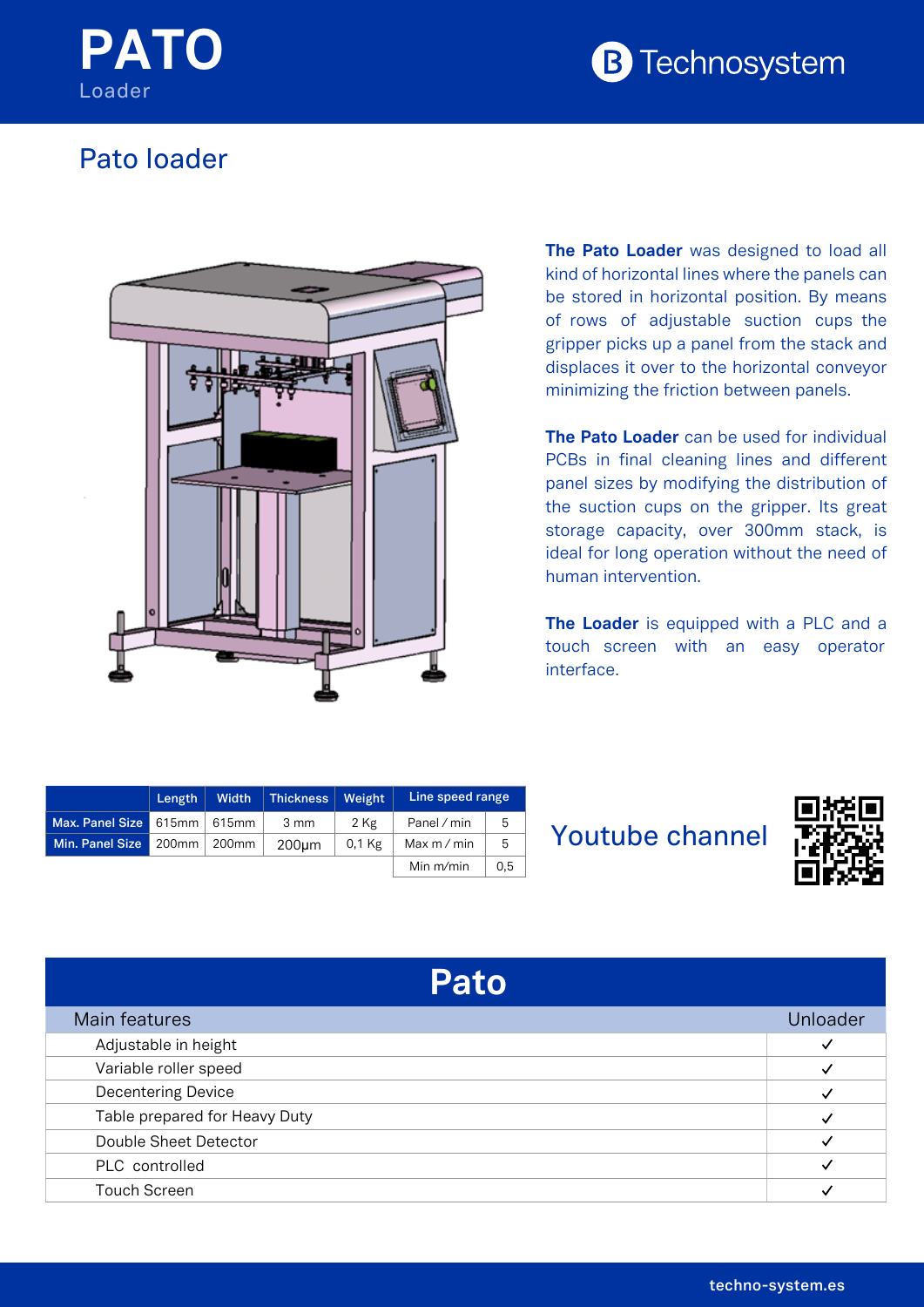



## Pato loader



**The Pato Loader** was designed to load all kind of horizontal lines where the panels can be stored in horizontal position. By means of rows of adjustable suction cups the gripper picks up a panel from the stack and displaces it over to the horizontal conveyor minimizing the friction between panels.

**The Pato Loader** can be used for individual PCBs in final cleaning lines and different panel sizes by modifying the distribution of the suction cups on the gripper. Its great storage capacity, over 300mm stack, is ideal for long operation without the need of human intervention.

**The Loader** is equipped with a PLC and a touch screen with an easy operator interface.

|                               | Length | <b>Width</b> | Thickness | Weight   | Line speed range |     |
|-------------------------------|--------|--------------|-----------|----------|------------------|-----|
| Max. Panel Size 615mm   615mm |        |              | 3 mm      | 2 Kg     | Panel / min      | 5   |
| Min. Panel Size 200mm 200mm   |        |              | 200um     | $0.1$ Kg | Max $m/m$ in     | 5   |
|                               |        |              |           |          | Min $m/min$      | 0.5 |

## Youtube channel



## **Pato**

| Main features                 |  |
|-------------------------------|--|
| Adjustable in height          |  |
| Variable roller speed         |  |
| <b>Decentering Device</b>     |  |
| Table prepared for Heavy Duty |  |
| Double Sheet Detector         |  |
| PLC controlled                |  |
| <b>Touch Screen</b>           |  |